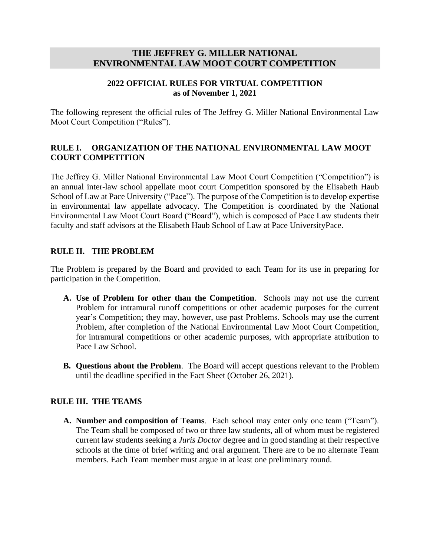### **2022 OFFICIAL RULES FOR VIRTUAL COMPETITION as of November 1, 2021**

The following represent the official rules of The Jeffrey G. Miller National Environmental Law Moot Court Competition ("Rules").

## **RULE I. ORGANIZATION OF THE NATIONAL ENVIRONMENTAL LAW MOOT COURT COMPETITION**

The Jeffrey G. Miller National Environmental Law Moot Court Competition ("Competition") is an annual inter-law school appellate moot court Competition sponsored by the Elisabeth Haub School of Law at Pace University ("Pace"). The purpose of the Competition is to develop expertise in environmental law appellate advocacy. The Competition is coordinated by the National Environmental Law Moot Court Board ("Board"), which is composed of Pace Law students their faculty and staff advisors at the Elisabeth Haub School of Law at Pace UniversityPace.

### **RULE II. THE PROBLEM**

The Problem is prepared by the Board and provided to each Team for its use in preparing for participation in the Competition.

- **A. Use of Problem for other than the Competition**.Schools may not use the current Problem for intramural runoff competitions or other academic purposes for the current year's Competition; they may, however, use past Problems. Schools may use the current Problem, after completion of the National Environmental Law Moot Court Competition, for intramural competitions or other academic purposes, with appropriate attribution to Pace Law School.
- **B. Questions about the Problem**. The Board will accept questions relevant to the Problem until the deadline specified in the Fact Sheet (October 26, 2021).

#### **RULE III. THE TEAMS**

**A. Number and composition of Teams**. Each school may enter only one team ("Team"). The Team shall be composed of two or three law students, all of whom must be registered current law students seeking a *Juris Doctor* degree and in good standing at their respective schools at the time of brief writing and oral argument. There are to be no alternate Team members. Each Team member must argue in at least one preliminary round.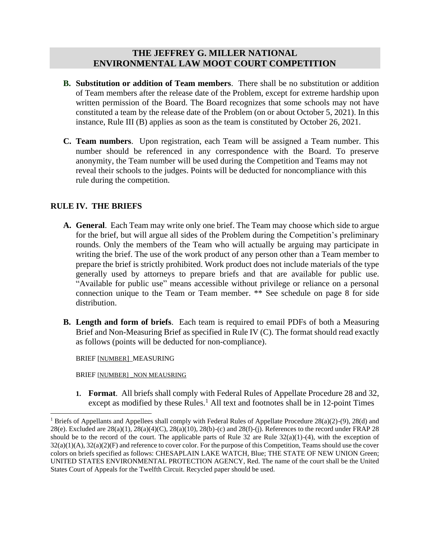- **B. Substitution or addition of Team members**. There shall be no substitution or addition of Team members after the release date of the Problem, except for extreme hardship upon written permission of the Board. The Board recognizes that some schools may not have constituted a team by the release date of the Problem (on or about October 5, 2021). In this instance, Rule III (B) applies as soon as the team is constituted by October 26, 2021.
- **C. Team numbers**. Upon registration, each Team will be assigned a Team number. This number should be referenced in any correspondence with the Board. To preserve anonymity, the Team number will be used during the Competition and Teams may not reveal their schools to the judges. Points will be deducted for noncompliance with this rule during the competition.

## **RULE IV. THE BRIEFS**

- **A. General**. Each Team may write only one brief. The Team may choose which side to argue for the brief, but will argue all sides of the Problem during the Competition's preliminary rounds. Only the members of the Team who will actually be arguing may participate in writing the brief. The use of the work product of any person other than a Team member to prepare the brief is strictly prohibited. Work product does not include materials of the type generally used by attorneys to prepare briefs and that are available for public use. "Available for public use" means accessible without privilege or reliance on a personal connection unique to the Team or Team member. \*\* See schedule on page 8 for side distribution.
- **B. Length and form of briefs**.Each team is required to email PDFs of both a Measuring Brief and Non-Measuring Brief as specified in Rule IV (C). The format should read exactly as follows (points will be deducted for non-compliance).

BRIEF [NUMBER]\_MEASURING

BRIEF [NUMBER] \_NON MEAUSRING

**1. Format**. All briefs shall comply with Federal Rules of Appellate Procedure 28 and 32, except as modified by these Rules.<sup>1</sup> All text and footnotes shall be in 12-point Times

<sup>&</sup>lt;sup>1</sup> Briefs of Appellants and Appellees shall comply with Federal Rules of Appellate Procedure  $28(a)(2)-(9)$ ,  $28(d)$  and  $28(e)$ . Excluded are  $28(a)(1)$ ,  $28(a)(4)(C)$ ,  $28(a)(10)$ ,  $28(b)-(c)$  and  $28(f)-(i)$ . References to the record under FRAP 28 should be to the record of the court. The applicable parts of Rule 32 are Rule  $32(a)(1)-(4)$ , with the exception of  $32(a)(1)(A)$ ,  $32(a)(2)(F)$  and reference to cover color. For the purpose of this Competition, Teams should use the cover colors on briefs specified as follows: CHESAPLAIN LAKE WATCH, Blue; THE STATE OF NEW UNION Green; UNITED STATES ENVIRONMENTAL PROTECTION AGENCY, Red. The name of the court shall be the United States Court of Appeals for the Twelfth Circuit. Recycled paper should be used.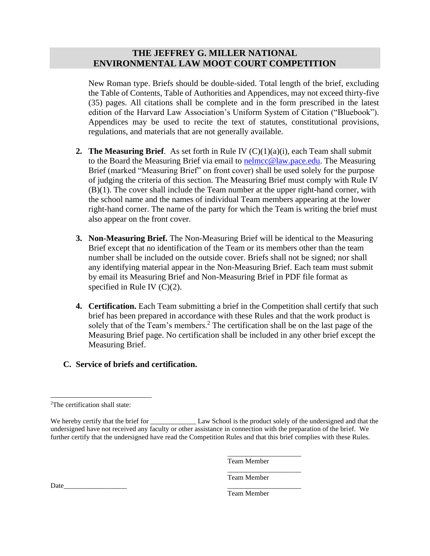New Roman type. Briefs should be double-sided. Total length of the brief, excluding the Table of Contents, Table of Authorities and Appendices, may not exceed thirty-five (35) pages. All citations shall be complete and in the form prescribed in the latest edition of the Harvard Law Association's Uniform System of Citation ("Bluebook"). Appendices may be used to recite the text of statutes, constitutional provisions, regulations, and materials that are not generally available.

- **2. The Measuring Brief**. As set forth in Rule IV  $(C)(1)(a)(i)$ , each Team shall submit to the Board the Measuring Brief via email to [nelmcc@law.pace.edu.](mailto:nelmcc@law.pace.edu) The Measuring Brief (marked "Measuring Brief" on front cover) shall be used solely for the purpose of judging the criteria of this section. The Measuring Brief must comply with Rule IV (B)(1). The cover shall include the Team number at the upper right-hand corner, with the school name and the names of individual Team members appearing at the lower right-hand corner. The name of the party for which the Team is writing the brief must also appear on the front cover.
- **3. Non-Measuring Brief.** The Non-Measuring Brief will be identical to the Measuring Brief except that no identification of the Team or its members other than the team number shall be included on the outside cover. Briefs shall not be signed; nor shall any identifying material appear in the Non-Measuring Brief. Each team must submit by email its Measuring Brief and Non-Measuring Brief in PDF file format as specified in Rule IV (C)(2).
- **4. Certification.** Each Team submitting a brief in the Competition shall certify that such brief has been prepared in accordance with these Rules and that the work product is solely that of the Team's members.<sup>2</sup> The certification shall be on the last page of the Measuring Brief page. No certification shall be included in any other brief except the Measuring Brief.

#### **C. Service of briefs and certification.**

 $\overline{\phantom{a}}$  , we can also the contract of  $\overline{\phantom{a}}$ Team Member

\_\_\_\_\_\_\_\_\_\_\_\_\_\_\_\_\_\_\_\_\_ Team Member

Date\_\_\_\_\_\_\_\_\_\_\_\_\_\_\_\_\_\_ \_\_\_\_\_\_\_\_\_\_\_\_\_\_\_\_\_\_\_\_\_

Team Member

<sup>2</sup>The certification shall state:

We hereby certify that the brief for \_\_\_\_\_\_\_\_\_\_\_\_\_\_ Law School is the product solely of the undersigned and that the undersigned have not received any faculty or other assistance in connection with the preparation of the brief. We further certify that the undersigned have read the Competition Rules and that this brief complies with these Rules.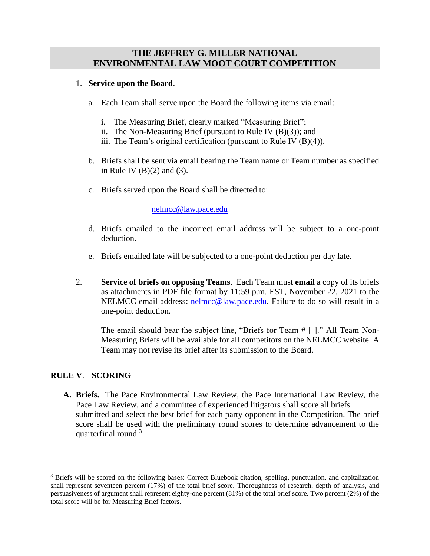#### 1. **Service upon the Board**.

- a. Each Team shall serve upon the Board the following items via email:
	- i. The Measuring Brief, clearly marked "Measuring Brief";
	- ii. The Non-Measuring Brief (pursuant to Rule IV (B)(3)); and
	- iii. The Team's original certification (pursuant to Rule IV (B)(4)).
- b. Briefs shall be sent via email bearing the Team name or Team number as specified in Rule IV  $(B)(2)$  and  $(3)$ .
- c. Briefs served upon the Board shall be directed to:

#### [nelmcc@law.pace.edu](mailto:nelmcc@law.pace.edu)

- d. Briefs emailed to the incorrect email address will be subject to a one-point deduction.
- e. Briefs emailed late will be subjected to a one-point deduction per day late.
- 2. **Service of briefs on opposing Teams**.Each Team must **email** a copy of its briefs as attachments in PDF file format by 11:59 p.m. EST, November 22, 2021 to the NELMCC email address: [nelmcc@law.pace.edu.](mailto:nelmcc@law.pace.edu) Failure to do so will result in a one-point deduction.

The email should bear the subject line, "Briefs for Team # [ ]." All Team Non-Measuring Briefs will be available for all competitors on the NELMCC website. A Team may not revise its brief after its submission to the Board.

## **RULE V**. **SCORING**

**A. Briefs.** The Pace Environmental Law Review, the Pace International Law Review, the Pace Law Review, and a committee of experienced litigators shall score all briefs submitted and select the best brief for each party opponent in the Competition. The brief score shall be used with the preliminary round scores to determine advancement to the quarterfinal round.<sup>3</sup>

<sup>&</sup>lt;sup>3</sup> Briefs will be scored on the following bases: Correct Bluebook citation, spelling, punctuation, and capitalization shall represent seventeen percent (17%) of the total brief score. Thoroughness of research, depth of analysis, and persuasiveness of argument shall represent eighty-one percent (81%) of the total brief score. Two percent (2%) of the total score will be for Measuring Brief factors.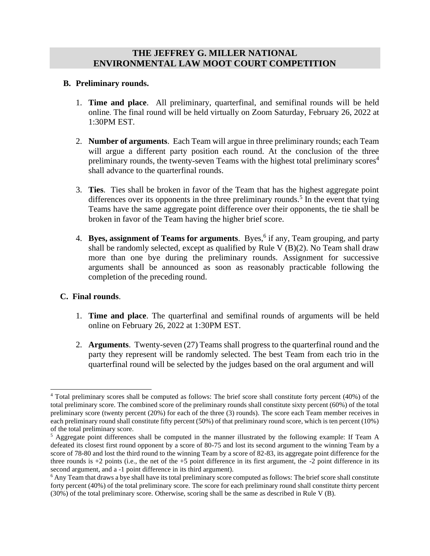#### **B. Preliminary rounds.**

- 1. **Time and place**. All preliminary, quarterfinal, and semifinal rounds will be held online. The final round will be held virtually on Zoom Saturday, February 26, 2022 at 1:30PM EST.
- 2. **Number of arguments**. Each Team will argue in three preliminary rounds; each Team will argue a different party position each round. At the conclusion of the three preliminary rounds, the twenty-seven Teams with the highest total preliminary scores<sup>4</sup> shall advance to the quarterfinal rounds.
- 3. **Ties**. Ties shall be broken in favor of the Team that has the highest aggregate point differences over its opponents in the three preliminary rounds.<sup>5</sup> In the event that tying Teams have the same aggregate point difference over their opponents, the tie shall be broken in favor of the Team having the higher brief score.
- 4. Byes, assignment of Teams for arguments. Byes,<sup>6</sup> if any, Team grouping, and party shall be randomly selected, except as qualified by Rule V (B)(2). No Team shall draw more than one bye during the preliminary rounds. Assignment for successive arguments shall be announced as soon as reasonably practicable following the completion of the preceding round.

## **C. Final rounds**.

- 1. **Time and place**. The quarterfinal and semifinal rounds of arguments will be held online on February 26, 2022 at 1:30PM EST.
- 2. **Arguments**. Twenty-seven (27) Teams shall progress to the quarterfinal round and the party they represent will be randomly selected. The best Team from each trio in the quarterfinal round will be selected by the judges based on the oral argument and will

<sup>4</sup> Total preliminary scores shall be computed as follows: The brief score shall constitute forty percent (40%) of the total preliminary score. The combined score of the preliminary rounds shall constitute sixty percent (60%) of the total preliminary score (twenty percent (20%) for each of the three (3) rounds). The score each Team member receives in each preliminary round shall constitute fifty percent (50%) of that preliminary round score, which is ten percent (10%) of the total preliminary score.

<sup>5</sup> Aggregate point differences shall be computed in the manner illustrated by the following example: If Team A defeated its closest first round opponent by a score of 80-75 and lost its second argument to the winning Team by a score of 78-80 and lost the third round to the winning Team by a score of 82-83, its aggregate point difference for the three rounds is  $+2$  points (i.e., the net of the  $+5$  point difference in its first argument, the  $-2$  point difference in its second argument, and a -1 point difference in its third argument).

 $6$  Any Team that draws a bye shall have its total preliminary score computed as follows: The brief score shall constitute forty percent (40%) of the total preliminary score. The score for each preliminary round shall constitute thirty percent (30%) of the total preliminary score. Otherwise, scoring shall be the same as described in Rule V (B).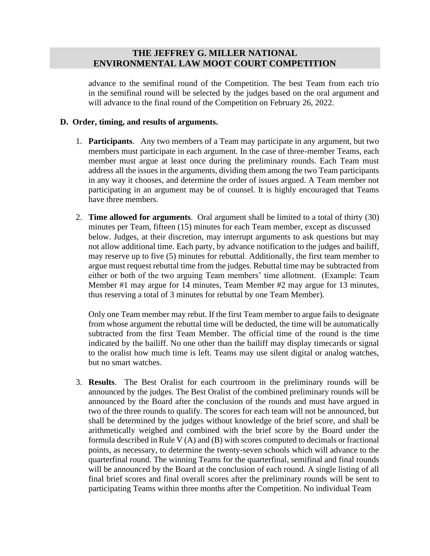advance to the semifinal round of the Competition. The best Team from each trio in the semifinal round will be selected by the judges based on the oral argument and will advance to the final round of the Competition on February 26, 2022.

#### **D. Order, timing, and results of arguments.**

- 1. **Participants**. Any two members of a Team may participate in any argument, but two members must participate in each argument. In the case of three-member Teams, each member must argue at least once during the preliminary rounds. Each Team must address all the issues in the arguments, dividing them among the two Team participants in any way it chooses, and determine the order of issues argued. A Team member not participating in an argument may be of counsel. It is highly encouraged that Teams have three members.
- 2. **Time allowed for arguments**. Oral argument shall be limited to a total of thirty (30) minutes per Team, fifteen (15) minutes for each Team member, except as discussed below. Judges, at their discretion, may interrupt arguments to ask questions but may not allow additional time. Each party, by advance notification to the judges and bailiff, may reserve up to five (5) minutes for rebuttal. Additionally, the first team member to argue must request rebuttal time from the judges. Rebuttal time may be subtracted from either or both of the two arguing Team members' time allotment. (Example: Team Member #1 may argue for 14 minutes, Team Member #2 may argue for 13 minutes, thus reserving a total of 3 minutes for rebuttal by one Team Member).

Only one Team member may rebut. If the first Team member to argue fails to designate from whose argument the rebuttal time will be deducted, the time will be automatically subtracted from the first Team Member. The official time of the round is the time indicated by the bailiff. No one other than the bailiff may display timecards or signal to the oralist how much time is left. Teams may use silent digital or analog watches, but no smart watches.

3. **Results**. The Best Oralist for each courtroom in the preliminary rounds will be announced by the judges. The Best Oralist of the combined preliminary rounds will be announced by the Board after the conclusion of the rounds and must have argued in two of the three rounds to qualify. The scores for each team will not be announced, but shall be determined by the judges without knowledge of the brief score, and shall be arithmetically weighed and combined with the brief score by the Board under the formula described in Rule V (A) and (B) with scores computed to decimals or fractional points, as necessary, to determine the twenty-seven schools which will advance to the quarterfinal round. The winning Teams for the quarterfinal, semifinal and final rounds will be announced by the Board at the conclusion of each round. A single listing of all final brief scores and final overall scores after the preliminary rounds will be sent to participating Teams within three months after the Competition. No individual Team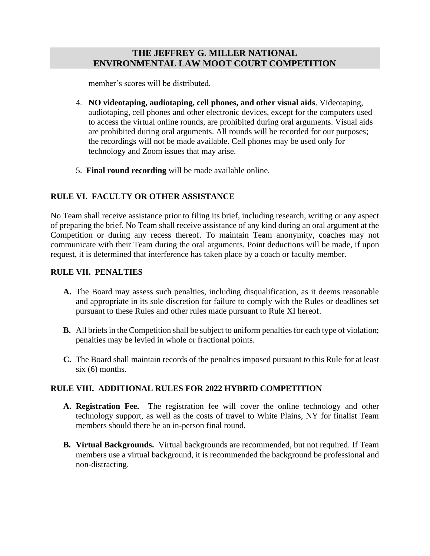member's scores will be distributed.

- 4. **NO videotaping, audiotaping, cell phones, and other visual aids**. Videotaping, audiotaping, cell phones and other electronic devices, except for the computers used to access the virtual online rounds, are prohibited during oral arguments. Visual aids are prohibited during oral arguments. All rounds will be recorded for our purposes; the recordings will not be made available. Cell phones may be used only for technology and Zoom issues that may arise.
- 5. **Final round recording** will be made available online.

## **RULE VI. FACULTY OR OTHER ASSISTANCE**

No Team shall receive assistance prior to filing its brief, including research, writing or any aspect of preparing the brief. No Team shall receive assistance of any kind during an oral argument at the Competition or during any recess thereof. To maintain Team anonymity, coaches may not communicate with their Team during the oral arguments. Point deductions will be made, if upon request, it is determined that interference has taken place by a coach or faculty member.

### **RULE VII. PENALTIES**

- **A.** The Board may assess such penalties, including disqualification, as it deems reasonable and appropriate in its sole discretion for failure to comply with the Rules or deadlines set pursuant to these Rules and other rules made pursuant to Rule XI hereof.
- **B.** All briefs in the Competition shall be subject to uniform penalties for each type of violation; penalties may be levied in whole or fractional points.
- **C.** The Board shall maintain records of the penalties imposed pursuant to this Rule for at least  $six(6)$  months.

## **RULE VIII. ADDITIONAL RULES FOR 2022 HYBRID COMPETITION**

- **A. Registration Fee.** The registration fee will cover the online technology and other technology support, as well as the costs of travel to White Plains, NY for finalist Team members should there be an in-person final round.
- **B. Virtual Backgrounds.** Virtual backgrounds are recommended, but not required. If Team members use a virtual background, it is recommended the background be professional and non-distracting.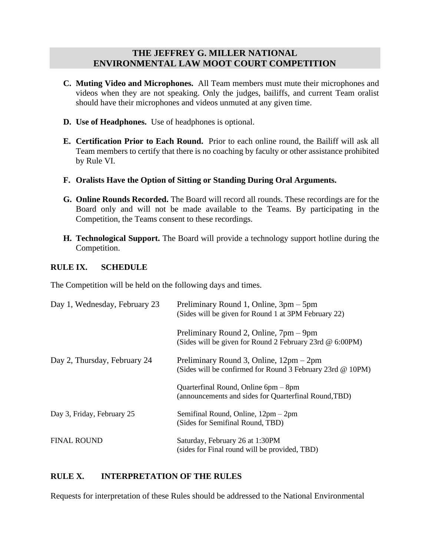- **C. Muting Video and Microphones.** All Team members must mute their microphones and videos when they are not speaking. Only the judges, bailiffs, and current Team oralist should have their microphones and videos unmuted at any given time.
- **D. Use of Headphones.** Use of headphones is optional.
- **E. Certification Prior to Each Round.** Prior to each online round, the Bailiff will ask all Team members to certify that there is no coaching by faculty or other assistance prohibited by Rule VI.
- **F. Oralists Have the Option of Sitting or Standing During Oral Arguments.**
- **G. Online Rounds Recorded.** The Board will record all rounds. These recordings are for the Board only and will not be made available to the Teams. By participating in the Competition, the Teams consent to these recordings.
- **H. Technological Support.** The Board will provide a technology support hotline during the Competition.

#### **RULE IX. SCHEDULE**

The Competition will be held on the following days and times.

| Day 1, Wednesday, February 23 | Preliminary Round 1, Online, 3pm – 5pm<br>(Sides will be given for Round 1 at 3PM February 22)                          |
|-------------------------------|-------------------------------------------------------------------------------------------------------------------------|
|                               | Preliminary Round 2, Online, 7pm – 9pm<br>(Sides will be given for Round 2 February 23rd @ 6:00PM)                      |
| Day 2, Thursday, February 24  | Preliminary Round 3, Online, $12 \text{pm} - 2 \text{pm}$<br>(Sides will be confirmed for Round 3 February 23rd @ 10PM) |
|                               | Quarterfinal Round, Online 6pm – 8pm<br>(announcements and sides for Quarterfinal Round, TBD)                           |
| Day 3, Friday, February 25    | Semifinal Round, Online, 12pm – 2pm<br>(Sides for Semifinal Round, TBD)                                                 |
| <b>FINAL ROUND</b>            | Saturday, February 26 at 1:30PM<br>(sides for Final round will be provided, TBD)                                        |

#### **RULE X. INTERPRETATION OF THE RULES**

Requests for interpretation of these Rules should be addressed to the National Environmental